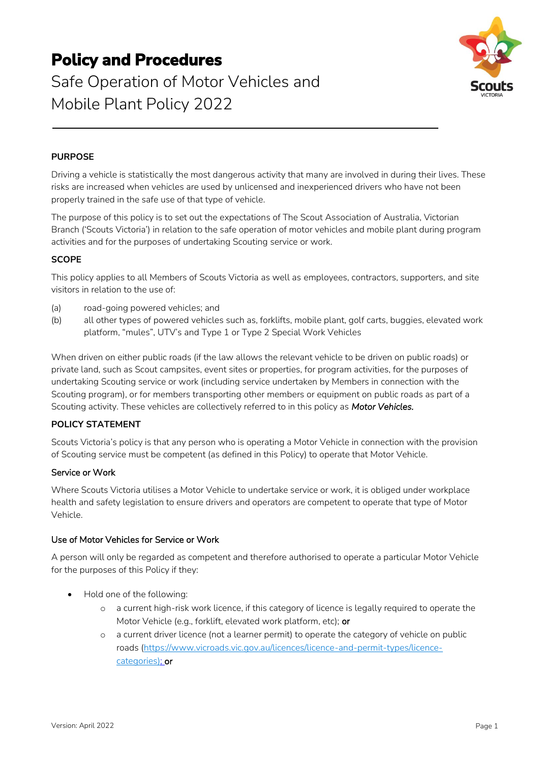# **Policy and Procedures**

# Safe Operation of Motor Vehicles and Mobile Plant Policy 2022



# **PURPOSE**

Driving a vehicle is statistically the most dangerous activity that many are involved in during their lives. These risks are increased when vehicles are used by unlicensed and inexperienced drivers who have not been properly trained in the safe use of that type of vehicle.

The purpose of this policy is to set out the expectations of The Scout Association of Australia, Victorian Branch ('Scouts Victoria') in relation to the safe operation of motor vehicles and mobile plant during program activities and for the purposes of undertaking Scouting service or work.

# **SCOPE**

This policy applies to all Members of Scouts Victoria as well as employees, contractors, supporters, and site visitors in relation to the use of:

- (a) road-going powered vehicles; and
- (b) all other types of powered vehicles such as, forklifts, mobile plant, golf carts, buggies, elevated work platform, "mules", UTV's and Type 1 or Type 2 Special Work Vehicles

When driven on either public roads (if the law allows the relevant vehicle to be driven on public roads) or private land, such as Scout campsites, event sites or properties, for program activities, for the purposes of undertaking Scouting service or work (including service undertaken by Members in connection with the Scouting program), or for members transporting other members or equipment on public roads as part of a Scouting activity. These vehicles are collectively referred to in this policy as *Motor Vehicles.*

#### **POLICY STATEMENT**

Scouts Victoria's policy is that any person who is operating a Motor Vehicle in connection with the provision of Scouting service must be competent (as defined in this Policy) to operate that Motor Vehicle.

#### Service or Work

Where Scouts Victoria utilises a Motor Vehicle to undertake service or work, it is obliged under workplace health and safety legislation to ensure drivers and operators are competent to operate that type of Motor Vehicle.

### Use of Motor Vehicles for Service or Work

A person will only be regarded as competent and therefore authorised to operate a particular Motor Vehicle for the purposes of this Policy if they:

- Hold one of the following:
	- o a current high-risk work licence, if this category of licence is legally required to operate the Motor Vehicle (e.g., forklift, elevated work platform, etc); or
	- o a current driver licence (not a learner permit) to operate the category of vehicle on public roads [\(https://www.vicroads.vic.gov.au/licences/licence-and-permit-types/licence](https://aus01.safelinks.protection.outlook.com/?url=https%3A%2F%2Fwww.vicroads.vic.gov.au%2Flicences%2Flicence-and-permit-types%2Flicence-categories&data=04%7C01%7Cmathew.mckernan%40scoutsvictoria.com.au%7C80655e86ac164ba0408a08da009c898e%7C7631717233dc440ea20e2f8dff031272%7C0%7C0%7C637822969588301652%7CUnknown%7CTWFpbGZsb3d8eyJWIjoiMC4wLjAwMDAiLCJQIjoiV2luMzIiLCJBTiI6Ik1haWwiLCJXVCI6Mn0%3D%7C3000&sdata=%2BnVRYxYoZY68GkD88OpdQWB2kq9%2BjA0ESa1PSpEhMT8%3D&reserved=0)[categories\)](https://aus01.safelinks.protection.outlook.com/?url=https%3A%2F%2Fwww.vicroads.vic.gov.au%2Flicences%2Flicence-and-permit-types%2Flicence-categories&data=04%7C01%7Cmathew.mckernan%40scoutsvictoria.com.au%7C80655e86ac164ba0408a08da009c898e%7C7631717233dc440ea20e2f8dff031272%7C0%7C0%7C637822969588301652%7CUnknown%7CTWFpbGZsb3d8eyJWIjoiMC4wLjAwMDAiLCJQIjoiV2luMzIiLCJBTiI6Ik1haWwiLCJXVCI6Mn0%3D%7C3000&sdata=%2BnVRYxYoZY68GkD88OpdQWB2kq9%2BjA0ESa1PSpEhMT8%3D&reserved=0); or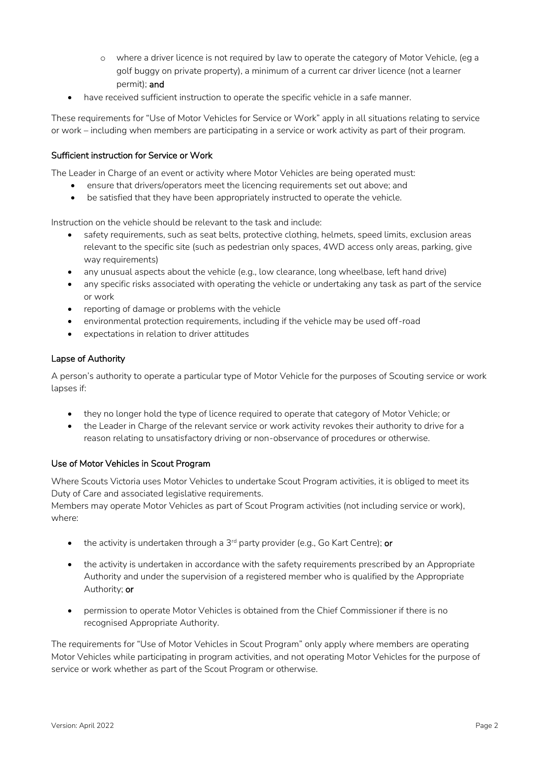- o where a driver licence is not required by law to operate the category of Motor Vehicle, (eg a golf buggy on private property), a minimum of a current car driver licence (not a learner permit); and
- have received sufficient instruction to operate the specific vehicle in a safe manner.

These requirements for "Use of Motor Vehicles for Service or Work" apply in all situations relating to service or work – including when members are participating in a service or work activity as part of their program.

# Sufficient instruction for Service or Work

The Leader in Charge of an event or activity where Motor Vehicles are being operated must:

- ensure that drivers/operators meet the licencing requirements set out above; and
- be satisfied that they have been appropriately instructed to operate the vehicle.

Instruction on the vehicle should be relevant to the task and include:

- safety requirements, such as seat belts, protective clothing, helmets, speed limits, exclusion areas relevant to the specific site (such as pedestrian only spaces, 4WD access only areas, parking, give way requirements)
- any unusual aspects about the vehicle (e.g., low clearance, long wheelbase, left hand drive)
- any specific risks associated with operating the vehicle or undertaking any task as part of the service or work
- reporting of damage or problems with the vehicle
- environmental protection requirements, including if the vehicle may be used off-road
- expectations in relation to driver attitudes

# Lapse of Authority

A person's authority to operate a particular type of Motor Vehicle for the purposes of Scouting service or work lapses if:

- they no longer hold the type of licence required to operate that category of Motor Vehicle; or
- the Leader in Charge of the relevant service or work activity revokes their authority to drive for a reason relating to unsatisfactory driving or non-observance of procedures or otherwise.

#### Use of Motor Vehicles in Scout Program

Where Scouts Victoria uses Motor Vehicles to undertake Scout Program activities, it is obliged to meet its Duty of Care and associated legislative requirements.

Members may operate Motor Vehicles as part of Scout Program activities (not including service or work), where:

- the activity is undertaken through a  $3^{rd}$  party provider (e.g., Go Kart Centre); or
- the activity is undertaken in accordance with the safety requirements prescribed by an Appropriate Authority and under the supervision of a registered member who is qualified by the Appropriate Authority; or
- permission to operate Motor Vehicles is obtained from the Chief Commissioner if there is no recognised Appropriate Authority.

The requirements for "Use of Motor Vehicles in Scout Program" only apply where members are operating Motor Vehicles while participating in program activities, and not operating Motor Vehicles for the purpose of service or work whether as part of the Scout Program or otherwise.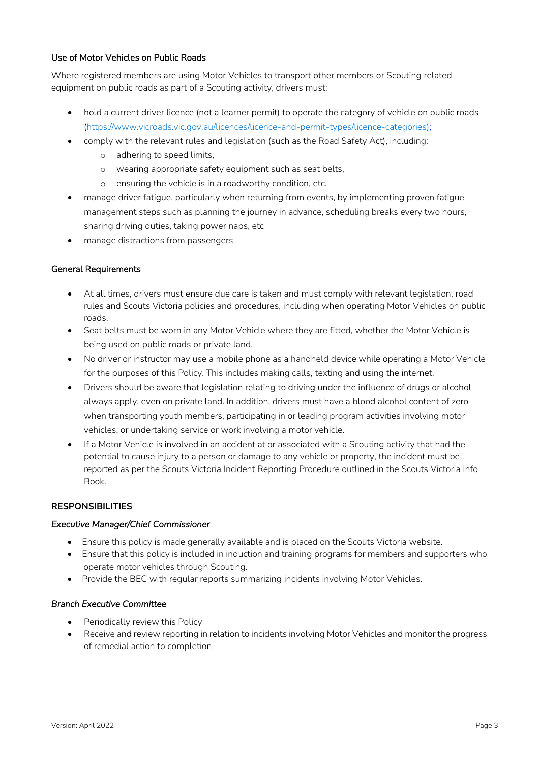# Use of Motor Vehicles on Public Roads

Where registered members are using Motor Vehicles to transport other members or Scouting related equipment on public roads as part of a Scouting activity, drivers must:

- hold a current driver licence (not a learner permit) to operate the category of vehicle on public roads [\(https://www.vicroads.vic.gov.au/licences/licence-and-permit-types/licence-categories\)](https://aus01.safelinks.protection.outlook.com/?url=https%3A%2F%2Fwww.vicroads.vic.gov.au%2Flicences%2Flicence-and-permit-types%2Flicence-categories&data=04%7C01%7Cmathew.mckernan%40scoutsvictoria.com.au%7C80655e86ac164ba0408a08da009c898e%7C7631717233dc440ea20e2f8dff031272%7C0%7C0%7C637822969588301652%7CUnknown%7CTWFpbGZsb3d8eyJWIjoiMC4wLjAwMDAiLCJQIjoiV2luMzIiLCJBTiI6Ik1haWwiLCJXVCI6Mn0%3D%7C3000&sdata=%2BnVRYxYoZY68GkD88OpdQWB2kq9%2BjA0ESa1PSpEhMT8%3D&reserved=0);
- comply with the relevant rules and legislation (such as the Road Safety Act), including:
	- o adhering to speed limits,
	- o wearing appropriate safety equipment such as seat belts,
	- o ensuring the vehicle is in a roadworthy condition, etc.
- manage driver fatigue, particularly when returning from events, by implementing proven fatigue management steps such as planning the journey in advance, scheduling breaks every two hours, sharing driving duties, taking power naps, etc
- manage distractions from passengers

# General Requirements

- At all times, drivers must ensure due care is taken and must comply with relevant legislation, road rules and Scouts Victoria policies and procedures, including when operating Motor Vehicles on public roads.
- Seat belts must be worn in any Motor Vehicle where they are fitted, whether the Motor Vehicle is being used on public roads or private land.
- No driver or instructor may use a mobile phone as a handheld device while operating a Motor Vehicle for the purposes of this Policy. This includes making calls, texting and using the internet.
- Drivers should be aware that legislation relating to driving under the influence of drugs or alcohol always apply, even on private land. In addition, drivers must have a blood alcohol content of zero when transporting youth members, participating in or leading program activities involving motor vehicles, or undertaking service or work involving a motor vehicle.
- If a Motor Vehicle is involved in an accident at or associated with a Scouting activity that had the potential to cause injury to a person or damage to any vehicle or property, the incident must be reported as per the Scouts Victoria Incident Reporting Procedure outlined in the Scouts Victoria Info Book.

#### **RESPONSIBILITIES**

#### *Executive Manager/Chief Commissioner*

- Ensure this policy is made generally available and is placed on the Scouts Victoria website.
- Ensure that this policy is included in induction and training programs for members and supporters who operate motor vehicles through Scouting.
- Provide the BEC with regular reports summarizing incidents involving Motor Vehicles.

#### *Branch Executive Committee*

- Periodically review this Policy
- Receive and review reporting in relation to incidents involving Motor Vehicles and monitor the progress of remedial action to completion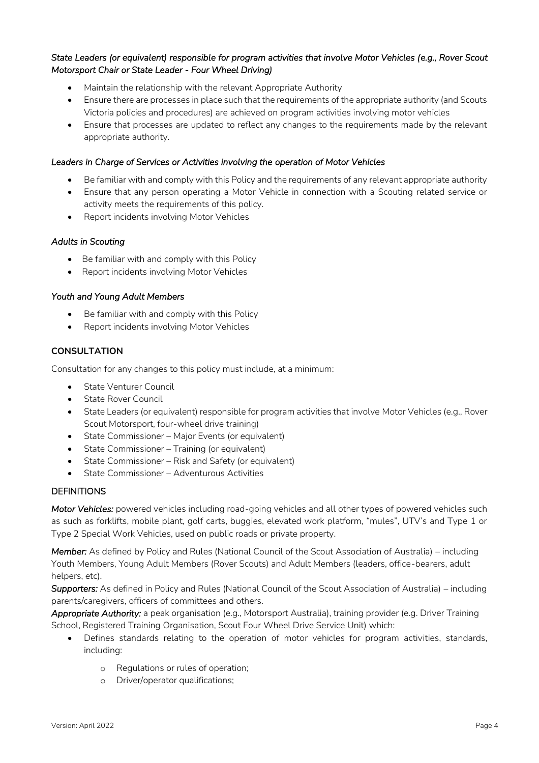# *State Leaders (or equivalent) responsible for program activities that involve Motor Vehicles (e.g., Rover Scout Motorsport Chair or State Leader - Four Wheel Driving)*

- Maintain the relationship with the relevant Appropriate Authority
- Ensure there are processes in place such that the requirements of the appropriate authority (and Scouts Victoria policies and procedures) are achieved on program activities involving motor vehicles
- Ensure that processes are updated to reflect any changes to the requirements made by the relevant appropriate authority.

### *Leaders in Charge of Services or Activities involving the operation of Motor Vehicles*

- Be familiar with and comply with this Policy and the requirements of any relevant appropriate authority
- Ensure that any person operating a Motor Vehicle in connection with a Scouting related service or activity meets the requirements of this policy.
- Report incidents involving Motor Vehicles

#### *Adults in Scouting*

- Be familiar with and comply with this Policy
- Report incidents involving Motor Vehicles

# *Youth and Young Adult Members*

- Be familiar with and comply with this Policy
- Report incidents involving Motor Vehicles

# **CONSULTATION**

Consultation for any changes to this policy must include, at a minimum:

- State Venturer Council
- **State Rover Council**
- State Leaders (or equivalent) responsible for program activities that involve Motor Vehicles (e.g., Rover Scout Motorsport, four-wheel drive training)
- State Commissioner Major Events (or equivalent)
- State Commissioner Training (or equivalent)
- State Commissioner Risk and Safety (or equivalent)
- State Commissioner Adventurous Activities

# **DEFINITIONS**

*Motor Vehicles:* powered vehicles including road-going vehicles and all other types of powered vehicles such as such as forklifts, mobile plant, golf carts, buggies, elevated work platform, "mules", UTV's and Type 1 or Type 2 Special Work Vehicles, used on public roads or private property.

*Member:* As defined by Policy and Rules (National Council of the Scout Association of Australia) – including Youth Members, Young Adult Members (Rover Scouts) and Adult Members (leaders, office-bearers, adult helpers, etc).

*Supporters:* As defined in Policy and Rules (National Council of the Scout Association of Australia) – including parents/caregivers, officers of committees and others.

*Appropriate Authority:* a peak organisation (e.g., Motorsport Australia), training provider (e.g. Driver Training School, Registered Training Organisation, Scout Four Wheel Drive Service Unit) which:

- Defines standards relating to the operation of motor vehicles for program activities, standards, including:
	- o Regulations or rules of operation;
	- o Driver/operator qualifications;